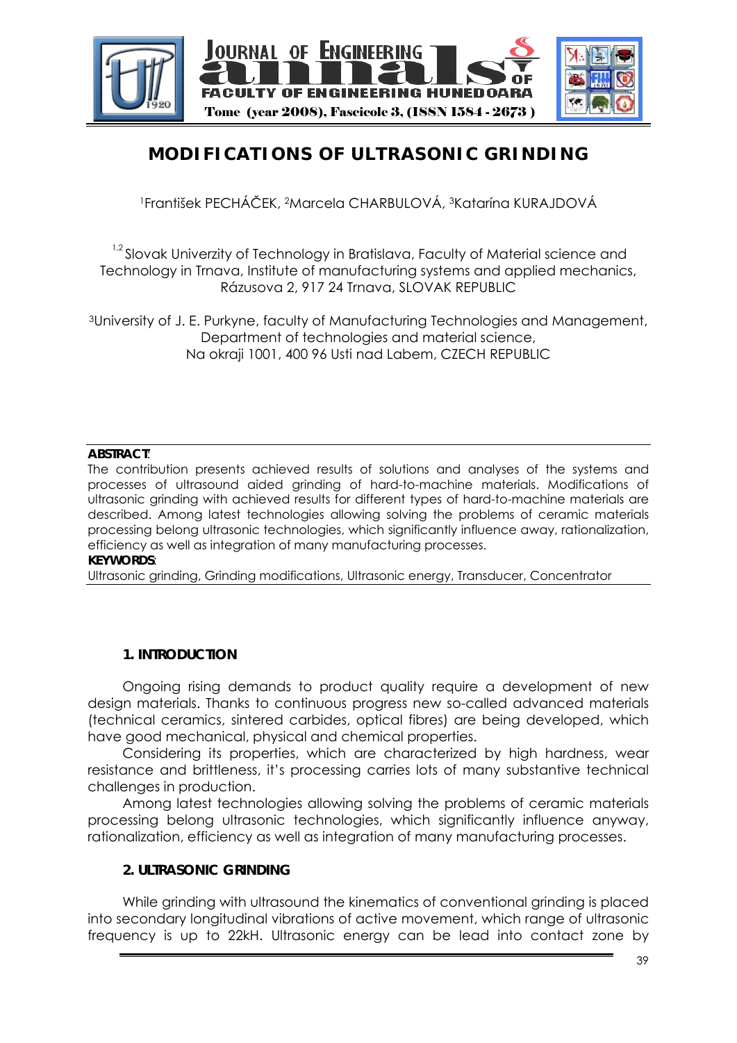

# **MODIFICATIONS OF ULTRASONIC GRINDING**

1František PECHÁČEK, 2Marcela CHARBULOVÁ, 3Katarína KURAJDOVÁ

<sup>1,2</sup> Slovak Univerzity of Technology in Bratislava, Faculty of Material science and Technology in Trnava, Institute of manufacturing systems and applied mechanics, Rázusova 2, 917 24 Trnava, SLOVAK REPUBLIC

3University of J. E. Purkyne, faculty of Manufacturing Technologies and Management, Department of technologies and material science, Na okraji 1001, 400 96 Usti nad Labem, CZECH REPUBLIC

#### **ABSTRACT**:

The contribution presents achieved results of solutions and analyses of the systems and processes of ultrasound aided grinding of hard-to-machine materials. Modifications of ultrasonic grinding with achieved results for different types of hard-to-machine materials are described. Among latest technologies allowing solving the problems of ceramic materials processing belong ultrasonic technologies, which significantly influence away, rationalization, efficiency as well as integration of many manufacturing processes. **KEYWORDS**:

Ultrasonic grinding, Grinding modifications, Ultrasonic energy, Transducer, Concentrator

## **1. INTRODUCTION**

Ongoing rising demands to product quality require a development of new design materials. Thanks to continuous progress new so-called advanced materials (technical ceramics, sintered carbides, optical fibres) are being developed, which have good mechanical, physical and chemical properties.

Considering its properties, which are characterized by high hardness, wear resistance and brittleness, it's processing carries lots of many substantive technical challenges in production.

Among latest technologies allowing solving the problems of ceramic materials processing belong ultrasonic technologies, which significantly influence anyway, rationalization, efficiency as well as integration of many manufacturing processes.

## **2. ULTRASONIC GRINDING**

While grinding with ultrasound the kinematics of conventional grinding is placed into secondary longitudinal vibrations of active movement, which range of ultrasonic frequency is up to 22kH. Ultrasonic energy can be lead into contact zone by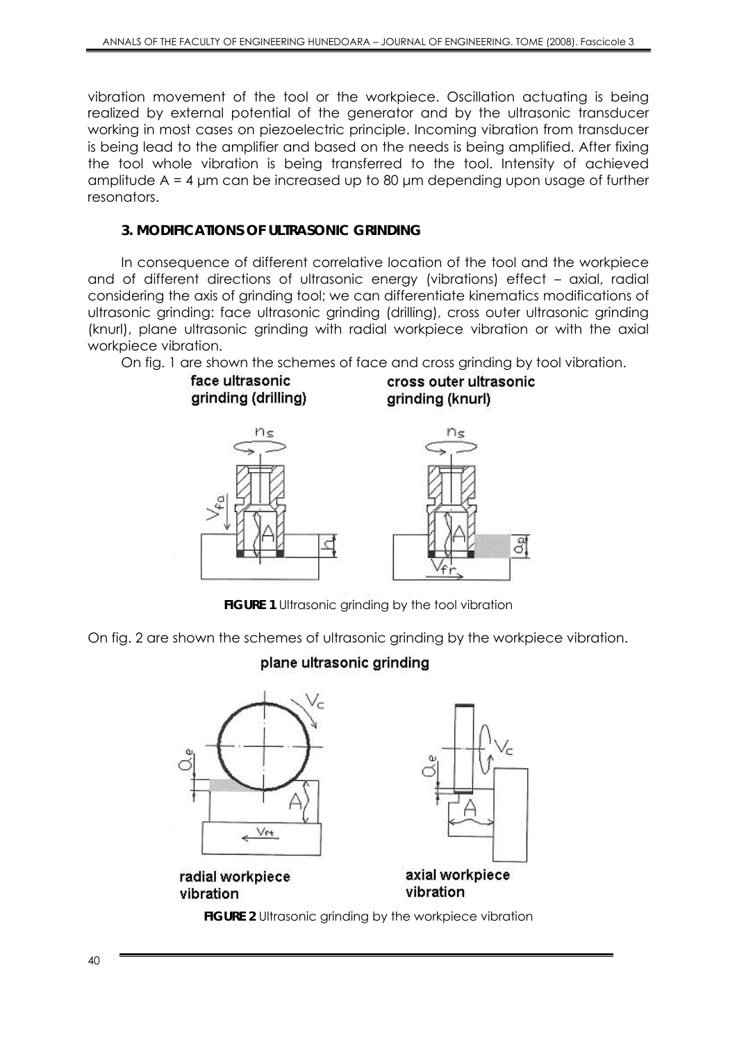vibration movement of the tool or the workpiece. Oscillation actuating is being realized by external potential of the generator and by the ultrasonic transducer working in most cases on piezoelectric principle. Incoming vibration from transducer is being lead to the amplifier and based on the needs is being amplified. After fixing the tool whole vibration is being transferred to the tool. Intensity of achieved amplitude A = 4 μm can be increased up to 80 μm depending upon usage of further resonators.

## **3. MODIFICATIONS OF ULTRASONIC GRINDING**

In consequence of different correlative location of the tool and the workpiece and of different directions of ultrasonic energy (vibrations) effect – axial, radial considering the axis of grinding tool; we can differentiate kinematics modifications of ultrasonic grinding: face ultrasonic grinding (drilling), cross outer ultrasonic grinding (knurl), plane ultrasonic grinding with radial workpiece vibration or with the axial workpiece vibration.

On fig. 1 are shown the schemes of face and cross grinding by tool vibration.



**FIGURE 1** Ultrasonic grinding by the tool vibration

On fig. 2 are shown the schemes of ultrasonic grinding by the workpiece vibration.

# plane ultrasonic grinding



**FIGURE 2** Ultrasonic grinding by the workpiece vibration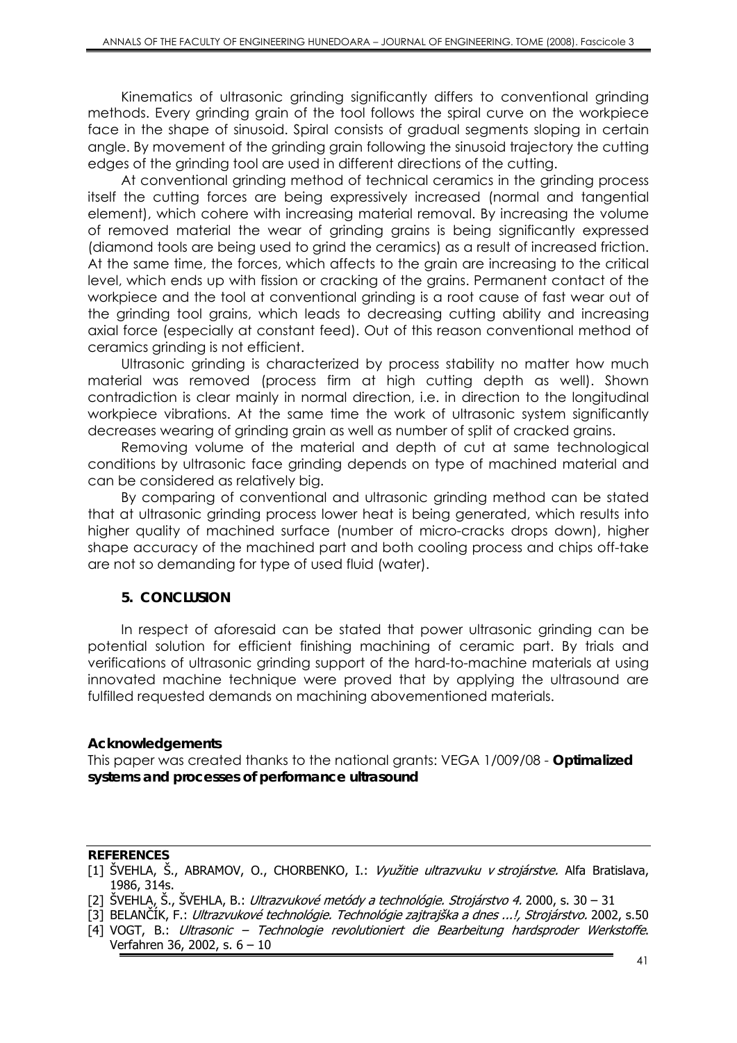Kinematics of ultrasonic grinding significantly differs to conventional grinding methods. Every grinding grain of the tool follows the spiral curve on the workpiece face in the shape of sinusoid. Spiral consists of gradual segments sloping in certain angle. By movement of the grinding grain following the sinusoid trajectory the cutting edges of the grinding tool are used in different directions of the cutting.

At conventional grinding method of technical ceramics in the grinding process itself the cutting forces are being expressively increased (normal and tangential element), which cohere with increasing material removal. By increasing the volume of removed material the wear of grinding grains is being significantly expressed (diamond tools are being used to grind the ceramics) as a result of increased friction. At the same time, the forces, which affects to the grain are increasing to the critical level, which ends up with fission or cracking of the grains. Permanent contact of the workpiece and the tool at conventional grinding is a root cause of fast wear out of the grinding tool grains, which leads to decreasing cutting ability and increasing axial force (especially at constant feed). Out of this reason conventional method of ceramics grinding is not efficient.

Ultrasonic grinding is characterized by process stability no matter how much material was removed (process firm at high cutting depth as well). Shown contradiction is clear mainly in normal direction, i.e. in direction to the longitudinal workpiece vibrations. At the same time the work of ultrasonic system significantly decreases wearing of grinding grain as well as number of split of cracked grains.

Removing volume of the material and depth of cut at same technological conditions by ultrasonic face grinding depends on type of machined material and can be considered as relatively big.

By comparing of conventional and ultrasonic grinding method can be stated that at ultrasonic grinding process lower heat is being generated, which results into higher quality of machined surface (number of micro-cracks drops down), higher shape accuracy of the machined part and both cooling process and chips off-take are not so demanding for type of used fluid (water).

#### **5. CONCLUSION**

In respect of aforesaid can be stated that power ultrasonic grinding can be potential solution for efficient finishing machining of ceramic part. By trials and verifications of ultrasonic grinding support of the hard-to-machine materials at using innovated machine technique were proved that by applying the ultrasound are fulfilled requested demands on machining abovementioned materials.

#### **Acknowledgements**

This paper was created thanks to the national grants: VEGA 1/009/08 - *Optimalized systems and processes of performance ultrasound* 

#### **REFERENCES**

<sup>[1]</sup> ŠVEHLA, Š., ABRAMOV, O., CHORBENKO, I.: Využitie ultrazvuku v strojárstve. Alfa Bratislava, 1986, 314s.

<sup>[2]</sup> ŠVEHLA, Š., ŠVEHLA, B.: *Ultrazvukové metódy a technológie. Strojárstvo 4.* 2000, s. 30 – 31

<sup>[3]</sup> BELANČÍK, F.: Ultrazvukové technológie. Technológie zajtrajška a dnes ...!, Strojárstvo. 2002, s.50

<sup>[4]</sup> VOGT, B.: Ultrasonic – Technologie revolutioniert die Bearbeitung hardsproder Werkstoffe. Verfahren 36, 2002, s. 6 – 10